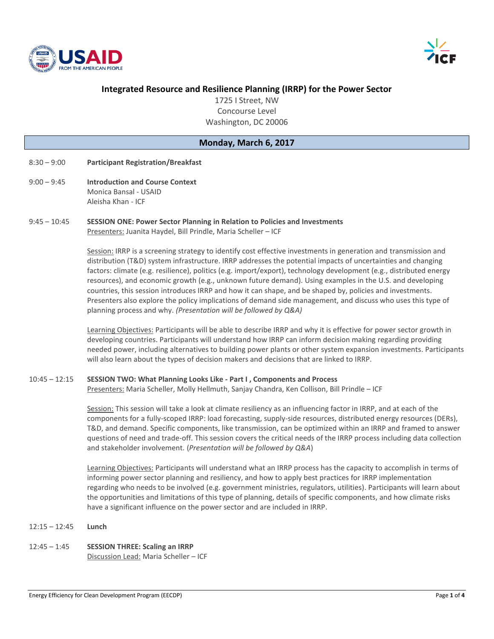



# **Integrated Resource and Resilience Planning (IRRP) for the Power Sector**

1725 I Street, NW Concourse Level Washington, DC 20006

### **Monday, March 6, 2017**

- 8:30 9:00 **Participant Registration/Breakfast**
- 9:00 9:45 **Introduction and Course Context** Monica Bansal - USAID Aleisha Khan - ICF
- 9:45 10:45 **SESSION ONE: Power Sector Planning in Relation to Policies and Investments** Presenters: Juanita Haydel, Bill Prindle, Maria Scheller – ICF

Session: IRRP is a screening strategy to identify cost effective investments in generation and transmission and distribution (T&D) system infrastructure. IRRP addresses the potential impacts of uncertainties and changing factors: climate (e.g. resilience), politics (e.g. import/export), technology development (e.g., distributed energy resources), and economic growth (e.g., unknown future demand). Using examples in the U.S. and developing countries, this session introduces IRRP and how it can shape, and be shaped by, policies and investments. Presenters also explore the policy implications of demand side management, and discuss who uses this type of planning process and why. *(Presentation will be followed by Q&A)*

Learning Objectives: Participants will be able to describe IRRP and why it is effective for power sector growth in developing countries. Participants will understand how IRRP can inform decision making regarding providing needed power, including alternatives to building power plants or other system expansion investments. Participants will also learn about the types of decision makers and decisions that are linked to IRRP.

#### 10:45 – 12:15 **SESSION TWO: What Planning Looks Like - Part I , Components and Process**

Presenters: Maria Scheller, Molly Hellmuth, Sanjay Chandra, Ken Collison, Bill Prindle – ICF

Session: This session will take a look at climate resiliency as an influencing factor in IRRP, and at each of the components for a fully-scoped IRRP: load forecasting, supply-side resources, distributed energy resources (DERs), T&D, and demand. Specific components, like transmission, can be optimized within an IRRP and framed to answer questions of need and trade-off. This session covers the critical needs of the IRRP process including data collection and stakeholder involvement. (*Presentation will be followed by Q&A*)

Learning Objectives: Participants will understand what an IRRP process has the capacity to accomplish in terms of informing power sector planning and resiliency, and how to apply best practices for IRRP implementation regarding who needs to be involved (e.g. government ministries, regulators, utilities). Participants will learn about the opportunities and limitations of this type of planning, details of specific components, and how climate risks have a significant influence on the power sector and are included in IRRP.

- 12:15 12:45 **Lunch**
- 12:45 1:45 **SESSION THREE: Scaling an IRRP**

Discussion Lead: Maria Scheller – ICF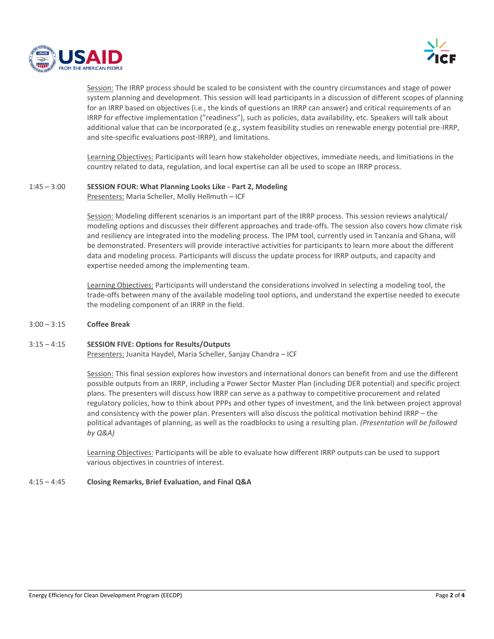



Session: The IRRP process should be scaled to be consistent with the country circumstances and stage of power system planning and development. This session will lead participants in a discussion of different scopes of planning for an IRRP based on objectives (i.e., the kinds of questions an IRRP can answer) and critical requirements of an IRRP for effective implementation ("readiness"), such as policies, data availability, etc. Speakers will talk about additional value that can be incorporated (e.g., system feasibility studies on renewable energy potential pre-IRRP, and site-specific evaluations post-IRRP), and limitations.

Learning Objectives: Participants will learn how stakeholder objectives, immediate needs, and limitiations in the country related to data, regulation, and local expertise can all be used to scope an IRRP process.

#### 1:45 – 3:00 **SESSION FOUR: What Planning Looks Like - Part 2, Modeling**

Presenters: Maria Scheller, Molly Hellmuth – ICF

Session: Modeling different scenarios is an important part of the IRRP process. This session reviews analytical/ modeling options and discusses their different approaches and trade-offs. The session also covers how climate risk and resiliency are integrated into the modeling process. The IPM tool, currently used in Tanzania and Ghana, will be demonstrated. Presenters will provide interactive activities for participants to learn more about the different data and modeling process. Participants will discuss the update process for IRRP outputs, and capacity and expertise needed among the implementing team.

Learning Objectives: Participants will understand the considerations involved in selecting a modeling tool, the trade-offs between many of the available modeling tool options, and understand the expertise needed to execute the modeling component of an IRRP in the field.

#### 3:00 – 3:15 **Coffee Break**

## 3:15 – 4:15 **SESSION FIVE: Options for Results/Outputs**

Presenters: Juanita Haydel, Maria Scheller, Sanjay Chandra – ICF

Session: This final session explores how investors and international donors can benefit from and use the different possible outputs from an IRRP, including a Power Sector Master Plan (including DER potential) and specific project plans. The presenters will discuss how IRRP can serve as a pathway to competitive procurement and related regulatory policies, how to think about PPPs and other types of investment, and the link between project approval and consistency with the power plan. Presenters will also discuss the political motivation behind IRRP – the political advantages of planning, as well as the roadblocks to using a resulting plan. *(Presentation will be followed by Q&A)*

Learning Objectives: Participants will be able to evaluate how different IRRP outputs can be used to support various objectives in countries of interest.

#### 4:15 – 4:45 **Closing Remarks, Brief Evaluation, and Final Q&A**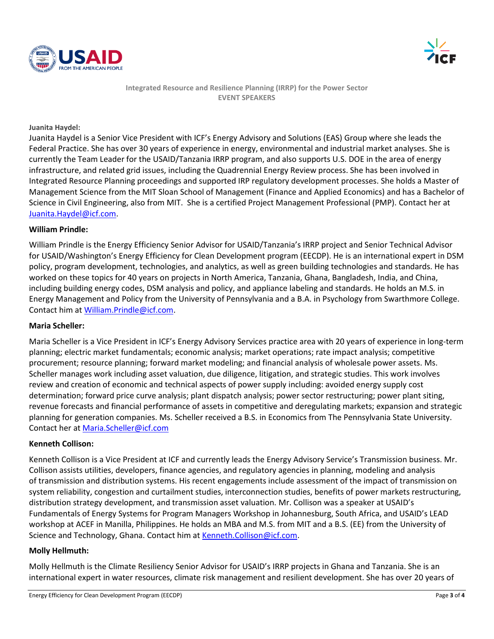



**Integrated Resource and Resilience Planning (IRRP) for the Power Sector EVENT SPEAKERS**

#### **Juanita Haydel:**

Juanita Haydel is a Senior Vice President with ICF's Energy Advisory and Solutions (EAS) Group where she leads the Federal Practice. She has over 30 years of experience in energy, environmental and industrial market analyses. She is currently the Team Leader for the USAID/Tanzania IRRP program, and also supports U.S. DOE in the area of energy infrastructure, and related grid issues, including the Quadrennial Energy Review process. She has been involved in Integrated Resource Planning proceedings and supported IRP regulatory development processes. She holds a Master of Management Science from the MIT Sloan School of Management (Finance and Applied Economics) and has a Bachelor of Science in Civil Engineering, also from MIT. She is a certified Project Management Professional (PMP). Contact her at [Juanita.Haydel@icf.com.](mailto:Juanita.Haydel@icf.com)

### **William Prindle:**

William Prindle is the Energy Efficiency Senior Advisor for USAID/Tanzania's IRRP project and Senior Technical Advisor for USAID/Washington's Energy Efficiency for Clean Development program (EECDP). He is an international expert in DSM policy, program development, technologies, and analytics, as well as green building technologies and standards. He has worked on these topics for 40 years on projects in North America, Tanzania, Ghana, Bangladesh, India, and China, including building energy codes, DSM analysis and policy, and appliance labeling and standards. He holds an M.S. in Energy Management and Policy from the University of Pennsylvania and a B.A. in Psychology from Swarthmore College. Contact him at [William.Prindle@icf.com.](mailto:William.Prindle@icf.com)

## **Maria Scheller:**

Maria Scheller is a Vice President in ICF's Energy Advisory Services practice area with 20 years of experience in long-term planning; electric market fundamentals; economic analysis; market operations; rate impact analysis; competitive procurement; resource planning; forward market modeling; and financial analysis of wholesale power assets. Ms. Scheller manages work including asset valuation, due diligence, litigation, and strategic studies. This work involves review and creation of economic and technical aspects of power supply including: avoided energy supply cost determination; forward price curve analysis; plant dispatch analysis; power sector restructuring; power plant siting, revenue forecasts and financial performance of assets in competitive and deregulating markets; expansion and strategic planning for generation companies. Ms. Scheller received a B.S. in Economics from The Pennsylvania State University. Contact her at [Maria.Scheller@icf.com](mailto:Maria.Scheller@icf.com)

## **Kenneth Collison:**

Kenneth Collison is a Vice President at ICF and currently leads the Energy Advisory Service's Transmission business. Mr. Collison assists utilities, developers, finance agencies, and regulatory agencies in planning, modeling and analysis of transmission and distribution systems. His recent engagements include assessment of the impact of transmission on system reliability, congestion and curtailment studies, interconnection studies, benefits of power markets restructuring, distribution strategy development, and transmission asset valuation. Mr. Collison was a speaker at USAID's Fundamentals of Energy Systems for Program Managers Workshop in Johannesburg, South Africa, and USAID's LEAD workshop at ACEF in Manilla, Philippines. He holds an MBA and M.S. from MIT and a B.S. (EE) from the University of Science and Technology, Ghana. Contact him a[t Kenneth.Collison@icf.com.](mailto:Kenneth.Collison@icf.com)

#### **Molly Hellmuth:**

Molly Hellmuth is the Climate Resiliency Senior Advisor for USAID's IRRP projects in Ghana and Tanzania. She is an international expert in water resources, climate risk management and resilient development. She has over 20 years of